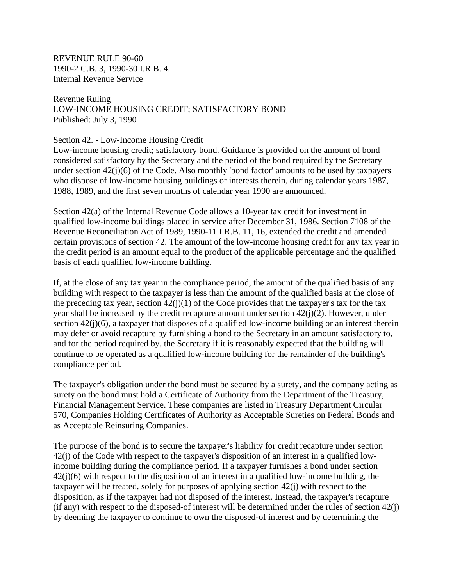REVENUE RULE 90-60 1990-2 C.B. 3, 1990-30 I.R.B. 4. Internal Revenue Service

Revenue Ruling LOW-INCOME HOUSING CREDIT; SATISFACTORY BOND Published: July 3, 1990

## Section 42. - Low-Income Housing Credit

Low-income housing credit; satisfactory bond. Guidance is provided on the amount of bond considered satisfactory by the Secretary and the period of the bond required by the Secretary under section 42(j)(6) of the Code. Also monthly 'bond factor' amounts to be used by taxpayers who dispose of low-income housing buildings or interests therein, during calendar years 1987, 1988, 1989, and the first seven months of calendar year 1990 are announced.

Section 42(a) of the Internal Revenue Code allows a 10-year tax credit for investment in qualified low-income buildings placed in service after December 31, 1986. Section 7108 of the Revenue Reconciliation Act of 1989, 1990-11 I.R.B. 11, 16, extended the credit and amended certain provisions of section 42. The amount of the low-income housing credit for any tax year in the credit period is an amount equal to the product of the applicable percentage and the qualified basis of each qualified low-income building.

If, at the close of any tax year in the compliance period, the amount of the qualified basis of any building with respect to the taxpayer is less than the amount of the qualified basis at the close of the preceding tax year, section  $42(j)(1)$  of the Code provides that the taxpayer's tax for the tax year shall be increased by the credit recapture amount under section 42(j)(2). However, under section  $42(i)(6)$ , a taxpayer that disposes of a qualified low-income building or an interest therein may defer or avoid recapture by furnishing a bond to the Secretary in an amount satisfactory to, and for the period required by, the Secretary if it is reasonably expected that the building will continue to be operated as a qualified low-income building for the remainder of the building's compliance period.

The taxpayer's obligation under the bond must be secured by a surety, and the company acting as surety on the bond must hold a Certificate of Authority from the Department of the Treasury, Financial Management Service. These companies are listed in Treasury Department Circular 570, Companies Holding Certificates of Authority as Acceptable Sureties on Federal Bonds and as Acceptable Reinsuring Companies.

The purpose of the bond is to secure the taxpayer's liability for credit recapture under section 42(j) of the Code with respect to the taxpayer's disposition of an interest in a qualified lowincome building during the compliance period. If a taxpayer furnishes a bond under section  $42(i)(6)$  with respect to the disposition of an interest in a qualified low-income building, the taxpayer will be treated, solely for purposes of applying section 42(j) with respect to the disposition, as if the taxpayer had not disposed of the interest. Instead, the taxpayer's recapture (if any) with respect to the disposed-of interest will be determined under the rules of section 42(j) by deeming the taxpayer to continue to own the disposed-of interest and by determining the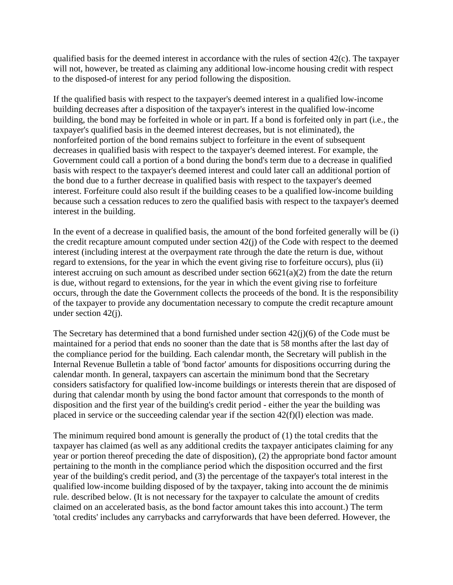qualified basis for the deemed interest in accordance with the rules of section 42(c). The taxpayer will not, however, be treated as claiming any additional low-income housing credit with respect to the disposed-of interest for any period following the disposition.

If the qualified basis with respect to the taxpayer's deemed interest in a qualified low-income building decreases after a disposition of the taxpayer's interest in the qualified low-income building, the bond may be forfeited in whole or in part. If a bond is forfeited only in part (i.e., the taxpayer's qualified basis in the deemed interest decreases, but is not eliminated), the nonforfeited portion of the bond remains subject to forfeiture in the event of subsequent decreases in qualified basis with respect to the taxpayer's deemed interest. For example, the Government could call a portion of a bond during the bond's term due to a decrease in qualified basis with respect to the taxpayer's deemed interest and could later call an additional portion of the bond due to a further decrease in qualified basis with respect to the taxpayer's deemed interest. Forfeiture could also result if the building ceases to be a qualified low-income building because such a cessation reduces to zero the qualified basis with respect to the taxpayer's deemed interest in the building.

In the event of a decrease in qualified basis, the amount of the bond forfeited generally will be (i) the credit recapture amount computed under section 42(j) of the Code with respect to the deemed interest (including interest at the overpayment rate through the date the return is due, without regard to extensions, for the year in which the event giving rise to forfeiture occurs), plus (ii) interest accruing on such amount as described under section  $6621(a)(2)$  from the date the return is due, without regard to extensions, for the year in which the event giving rise to forfeiture occurs, through the date the Government collects the proceeds of the bond. It is the responsibility of the taxpayer to provide any documentation necessary to compute the credit recapture amount under section 42(j).

The Secretary has determined that a bond furnished under section 42(j)(6) of the Code must be maintained for a period that ends no sooner than the date that is 58 months after the last day of the compliance period for the building. Each calendar month, the Secretary will publish in the Internal Revenue Bulletin a table of 'bond factor' amounts for dispositions occurring during the calendar month. In general, taxpayers can ascertain the minimum bond that the Secretary considers satisfactory for qualified low-income buildings or interests therein that are disposed of during that calendar month by using the bond factor amount that corresponds to the month of disposition and the first year of the building's credit period - either the year the building was placed in service or the succeeding calendar year if the section 42(f)(l) election was made.

The minimum required bond amount is generally the product of (1) the total credits that the taxpayer has claimed (as well as any additional credits the taxpayer anticipates claiming for any year or portion thereof preceding the date of disposition), (2) the appropriate bond factor amount pertaining to the month in the compliance period which the disposition occurred and the first year of the building's credit period, and (3) the percentage of the taxpayer's total interest in the qualified low-income building disposed of by the taxpayer, taking into account the de minimis rule. described below. (It is not necessary for the taxpayer to calculate the amount of credits claimed on an accelerated basis, as the bond factor amount takes this into account.) The term 'total credits' includes any carrybacks and carryforwards that have been deferred. However, the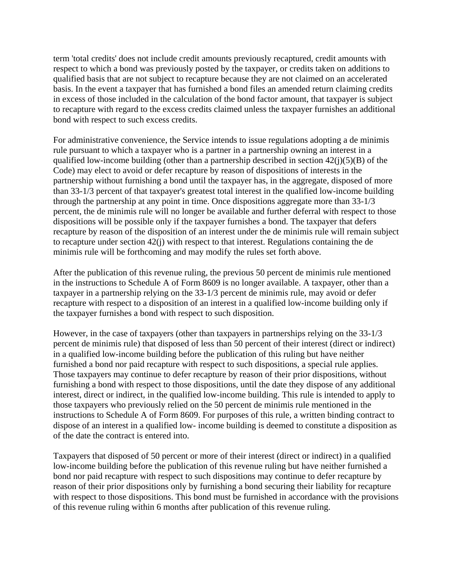term 'total credits' does not include credit amounts previously recaptured, credit amounts with respect to which a bond was previously posted by the taxpayer, or credits taken on additions to qualified basis that are not subject to recapture because they are not claimed on an accelerated basis. In the event a taxpayer that has furnished a bond files an amended return claiming credits in excess of those included in the calculation of the bond factor amount, that taxpayer is subject to recapture with regard to the excess credits claimed unless the taxpayer furnishes an additional bond with respect to such excess credits.

For administrative convenience, the Service intends to issue regulations adopting a de minimis rule pursuant to which a taxpayer who is a partner in a partnership owning an interest in a qualified low-income building (other than a partnership described in section  $42(i)(5)(B)$  of the Code) may elect to avoid or defer recapture by reason of dispositions of interests in the partnership without furnishing a bond until the taxpayer has, in the aggregate, disposed of more than 33-1/3 percent of that taxpayer's greatest total interest in the qualified low-income building through the partnership at any point in time. Once dispositions aggregate more than 33-1/3 percent, the de minimis rule will no longer be available and further deferral with respect to those dispositions will be possible only if the taxpayer furnishes a bond. The taxpayer that defers recapture by reason of the disposition of an interest under the de minimis rule will remain subject to recapture under section 42(j) with respect to that interest. Regulations containing the de minimis rule will be forthcoming and may modify the rules set forth above.

After the publication of this revenue ruling, the previous 50 percent de minimis rule mentioned in the instructions to Schedule A of Form 8609 is no longer available. A taxpayer, other than a taxpayer in a partnership relying on the 33-1/3 percent de minimis rule, may avoid or defer recapture with respect to a disposition of an interest in a qualified low-income building only if the taxpayer furnishes a bond with respect to such disposition.

However, in the case of taxpayers (other than taxpayers in partnerships relying on the 33-1/3 percent de minimis rule) that disposed of less than 50 percent of their interest (direct or indirect) in a qualified low-income building before the publication of this ruling but have neither furnished a bond nor paid recapture with respect to such dispositions, a special rule applies. Those taxpayers may continue to defer recapture by reason of their prior dispositions, without furnishing a bond with respect to those dispositions, until the date they dispose of any additional interest, direct or indirect, in the qualified low-income building. This rule is intended to apply to those taxpayers who previously relied on the 50 percent de minimis rule mentioned in the instructions to Schedule A of Form 8609. For purposes of this rule, a written binding contract to dispose of an interest in a qualified low- income building is deemed to constitute a disposition as of the date the contract is entered into.

Taxpayers that disposed of 50 percent or more of their interest (direct or indirect) in a qualified low-income building before the publication of this revenue ruling but have neither furnished a bond nor paid recapture with respect to such dispositions may continue to defer recapture by reason of their prior dispositions only by furnishing a bond securing their liability for recapture with respect to those dispositions. This bond must be furnished in accordance with the provisions of this revenue ruling within 6 months after publication of this revenue ruling.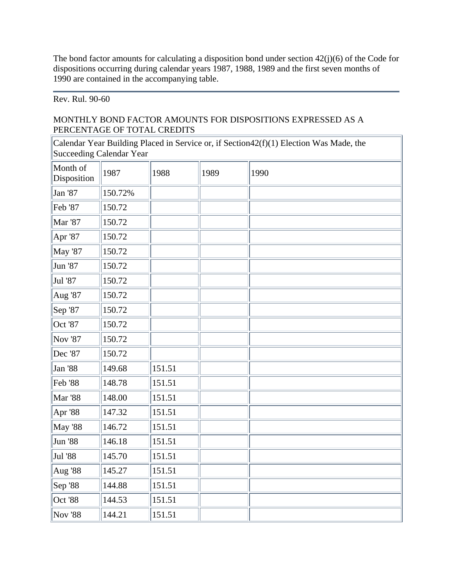The bond factor amounts for calculating a disposition bond under section 42(j)(6) of the Code for dispositions occurring during calendar years 1987, 1988, 1989 and the first seven months of 1990 are contained in the accompanying table.

## Rev. Rul. 90-60

## MONTHLY BOND FACTOR AMOUNTS FOR DISPOSITIONS EXPRESSED AS A PERCENTAGE OF TOTAL CREDITS

Calendar Year Building Placed in Service or, if Section42(f)(1) Election Was Made, the Succeeding Calendar Year

| Month of<br>Disposition | 1987    | 1988   | 1989 | 1990 |
|-------------------------|---------|--------|------|------|
| Jan '87                 | 150.72% |        |      |      |
| Feb '87                 | 150.72  |        |      |      |
| <b>Mar '87</b>          | 150.72  |        |      |      |
| Apr '87                 | 150.72  |        |      |      |
| <b>May '87</b>          | 150.72  |        |      |      |
| Jun '87                 | 150.72  |        |      |      |
| Jul '87                 | 150.72  |        |      |      |
| Aug '87                 | 150.72  |        |      |      |
| Sep '87                 | 150.72  |        |      |      |
| Oct '87                 | 150.72  |        |      |      |
| <b>Nov '87</b>          | 150.72  |        |      |      |
| Dec '87                 | 150.72  |        |      |      |
| <b>Jan '88</b>          | 149.68  | 151.51 |      |      |
| <b>Feb</b> '88          | 148.78  | 151.51 |      |      |
| <b>Mar</b> '88          | 148.00  | 151.51 |      |      |
| Apr '88                 | 147.32  | 151.51 |      |      |
| <b>May '88</b>          | 146.72  | 151.51 |      |      |
| <b>Jun '88</b>          | 146.18  | 151.51 |      |      |
| Jul '88                 | 145.70  | 151.51 |      |      |
| Aug '88                 | 145.27  | 151.51 |      |      |
| Sep '88                 | 144.88  | 151.51 |      |      |
| Oct '88                 | 144.53  | 151.51 |      |      |
| <b>Nov '88</b>          | 144.21  | 151.51 |      |      |